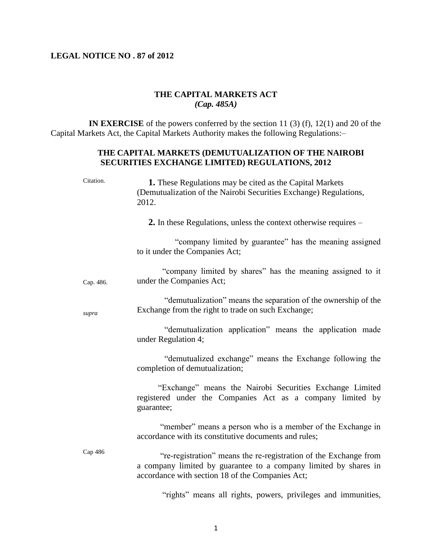## **LEGAL NOTICE NO . 87 of 2012**

## **THE CAPITAL MARKETS ACT** *(Cap. 485A)*

 **IN EXERCISE** of the powers conferred by the section 11 (3) (f), 12(1) and 20 of the Capital Markets Act, the Capital Markets Authority makes the following Regulations:–

## **THE CAPITAL MARKETS (DEMUTUALIZATION OF THE NAIROBI SECURITIES EXCHANGE LIMITED) REGULATIONS, 2012**

| Citation. | 1. These Regulations may be cited as the Capital Markets<br>(Demutualization of the Nairobi Securities Exchange) Regulations,<br>2012.                                                   |
|-----------|------------------------------------------------------------------------------------------------------------------------------------------------------------------------------------------|
|           | 2. In these Regulations, unless the context otherwise requires -                                                                                                                         |
|           | "company limited by guarantee" has the meaning assigned<br>to it under the Companies Act;                                                                                                |
| Cap. 486. | "company limited by shares" has the meaning assigned to it<br>under the Companies Act;                                                                                                   |
| supra     | "demutualization" means the separation of the ownership of the<br>Exchange from the right to trade on such Exchange;                                                                     |
|           | "demutualization application" means the application made<br>under Regulation 4;                                                                                                          |
|           | "demutualized exchange" means the Exchange following the<br>completion of demutualization;                                                                                               |
|           | "Exchange" means the Nairobi Securities Exchange Limited<br>registered under the Companies Act as a company limited by<br>guarantee;                                                     |
|           | "member" means a person who is a member of the Exchange in<br>accordance with its constitutive documents and rules;                                                                      |
| Cap 486   | "re-registration" means the re-registration of the Exchange from<br>a company limited by guarantee to a company limited by shares in<br>accordance with section 18 of the Companies Act; |
|           | $(11 \t 1)$<br>the contract of the contract of the contract of the contract of the contract of<br>$\cdots$                                                                               |

"rights" means all rights, powers, privileges and immunities,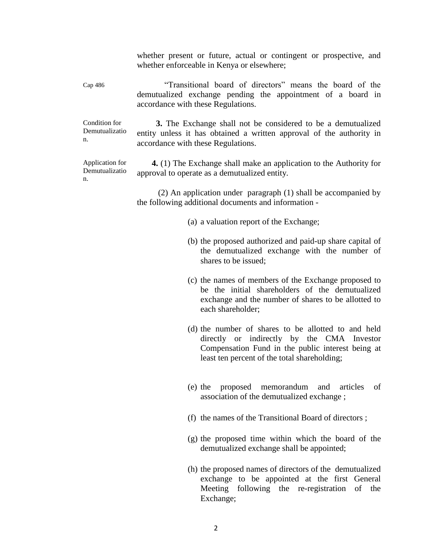whether present or future, actual or contingent or prospective, and whether enforceable in Kenya or elsewhere;

Cap 486 "Transitional board of directors" means the board of the demutualized exchange pending the appointment of a board in accordance with these Regulations.

Condition for Demutualizatio n.

 **3.** The Exchange shall not be considered to be a demutualized entity unless it has obtained a written approval of the authority in accordance with these Regulations.

Application for Demutualizatio n.

 **4.** (1) The Exchange shall make an application to the Authority for approval to operate as a demutualized entity.

 (2) An application under paragraph (1) shall be accompanied by the following additional documents and information -

- (a) a valuation report of the Exchange;
- (b) the proposed authorized and paid-up share capital of the demutualized exchange with the number of shares to be issued;
- (c) the names of members of the Exchange proposed to be the initial shareholders of the demutualized exchange and the number of shares to be allotted to each shareholder;
- (d) the number of shares to be allotted to and held directly or indirectly by the CMA Investor Compensation Fund in the public interest being at least ten percent of the total shareholding;
- (e) the proposed memorandum and articles of association of the demutualized exchange ;
- (f) the names of the Transitional Board of directors ;
- (g) the proposed time within which the board of the demutualized exchange shall be appointed;
- (h) the proposed names of directors of the demutualized exchange to be appointed at the first General Meeting following the re-registration of the Exchange;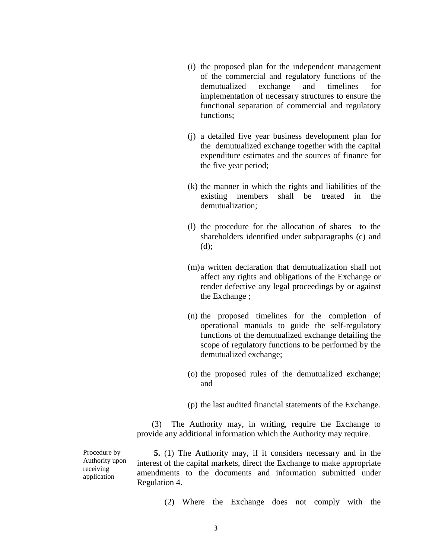- (i) the proposed plan for the independent management of the commercial and regulatory functions of the demutualized exchange and timelines for implementation of necessary structures to ensure the functional separation of commercial and regulatory functions;
- (j) a detailed five year business development plan for the demutualized exchange together with the capital expenditure estimates and the sources of finance for the five year period;
- (k) the manner in which the rights and liabilities of the existing members shall be treated in the demutualization;
- (l) the procedure for the allocation of shares to the shareholders identified under subparagraphs (c) and (d);
- (m)a written declaration that demutualization shall not affect any rights and obligations of the Exchange or render defective any legal proceedings by or against the Exchange ;
- (n) the proposed timelines for the completion of operational manuals to guide the self-regulatory functions of the demutualized exchange detailing the scope of regulatory functions to be performed by the demutualized exchange;
- (o) the proposed rules of the demutualized exchange; and
- (p) the last audited financial statements of the Exchange.

 (3) The Authority may, in writing, require the Exchange to provide any additional information which the Authority may require.

Procedure by Authority upon receiving application

 **5.** (1) The Authority may, if it considers necessary and in the interest of the capital markets, direct the Exchange to make appropriate amendments to the documents and information submitted under Regulation 4.

(2) Where the Exchange does not comply with the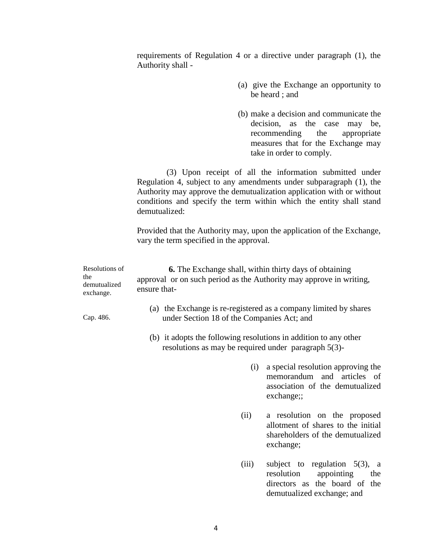requirements of Regulation 4 or a directive under paragraph (1), the Authority shall -

- (a) give the Exchange an opportunity to be heard ; and
- (b) make a decision and communicate the decision, as the case may be, recommending the appropriate measures that for the Exchange may take in order to comply.

 (3) Upon receipt of all the information submitted under Regulation 4, subject to any amendments under subparagraph (1), the Authority may approve the demutualization application with or without conditions and specify the term within which the entity shall stand demutualized:

Provided that the Authority may, upon the application of the Exchange, vary the term specified in the approval.

| Resolutions of<br>the<br>demutualized<br>exchange. | <b>6.</b> The Exchange shall, within thirty days of obtaining<br>approval or on such period as the Authority may approve in writing,<br>ensure that- |
|----------------------------------------------------|------------------------------------------------------------------------------------------------------------------------------------------------------|
| Cap. 486.                                          | (a) the Exchange is re-registered as a company limited by shares<br>under Section 18 of the Companies Act; and                                       |
|                                                    | (b) it adopts the following resolutions in addition to any other<br>resolutions as may be required under paragraph $5(3)$ -                          |

- (i) a special resolution approving the memorandum and articles of association of the demutualized exchange::
- (ii) a resolution on the proposed allotment of shares to the initial shareholders of the demutualized exchange;
- (iii) subject to regulation 5(3), a resolution appointing the directors as the board of the demutualized exchange; and

4